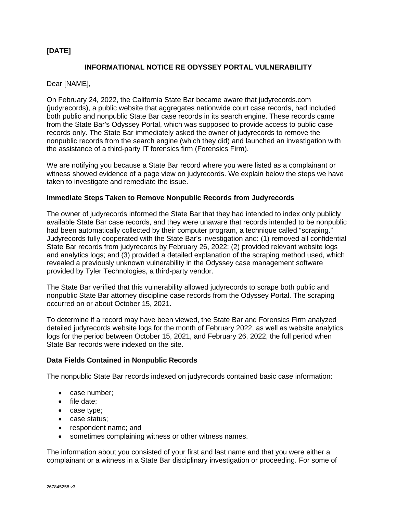# **[DATE]**

## **INFORMATIONAL NOTICE RE ODYSSEY PORTAL VULNERABILITY**

Dear [NAME],

On February 24, 2022, the California State Bar became aware that judyrecords.com (judyrecords), a public website that aggregates nationwide court case records, had included both public and nonpublic State Bar case records in its search engine. These records came from the State Bar's Odyssey Portal, which was supposed to provide access to public case records only. The State Bar immediately asked the owner of judyrecords to remove the nonpublic records from the search engine (which they did) and launched an investigation with the assistance of a third-party IT forensics firm (Forensics Firm).

We are notifying you because a State Bar record where you were listed as a complainant or witness showed evidence of a page view on judyrecords. We explain below the steps we have taken to investigate and remediate the issue.

### **Immediate Steps Taken to Remove Nonpublic Records from Judyrecords**

The owner of judyrecords informed the State Bar that they had intended to index only publicly available State Bar case records, and they were unaware that records intended to be nonpublic had been automatically collected by their computer program, a technique called "scraping." Judyrecords fully cooperated with the State Bar's investigation and: (1) removed all confidential State Bar records from judyrecords by February 26, 2022; (2) provided relevant website logs and analytics logs; and (3) provided a detailed explanation of the scraping method used, which revealed a previously unknown vulnerability in the Odyssey case management software provided by Tyler Technologies, a third-party vendor.

The State Bar verified that this vulnerability allowed judyrecords to scrape both public and nonpublic State Bar attorney discipline case records from the Odyssey Portal. The scraping occurred on or about October 15, 2021.

To determine if a record may have been viewed, the State Bar and Forensics Firm analyzed detailed judyrecords website logs for the month of February 2022, as well as website analytics logs for the period between October 15, 2021, and February 26, 2022, the full period when State Bar records were indexed on the site.

#### **Data Fields Contained in Nonpublic Records**

The nonpublic State Bar records indexed on judyrecords contained basic case information:

- case number;
- file date;
- case type;
- case status;
- respondent name; and
- sometimes complaining witness or other witness names.

The information about you consisted of your first and last name and that you were either a complainant or a witness in a State Bar disciplinary investigation or proceeding. For some of